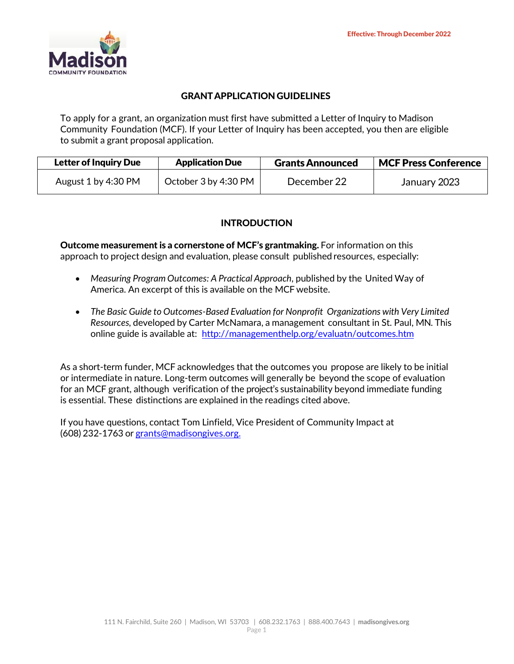

## GRANTAPPLICATIONGUIDELINES

To apply for a grant, an organization must first have submitted a Letter of Inquiry to Madison Community Foundation (MCF). If your Letter of Inquiry has been accepted, you then are eligible to submit a grant proposal application.

| <b>Letter of Inquiry Due</b> | <b>Application Due</b> | <b>Grants Announced</b> | <b>MCF Press Conference</b> |  |
|------------------------------|------------------------|-------------------------|-----------------------------|--|
| August 1 by 4:30 PM          | October 3 by 4:30 PM   | December 22             | January 2023                |  |

# INTRODUCTION

Outcome measurement is a cornerstone of MCF's grantmaking. For information on this approach to project design and evaluation, please consult published resources, especially:

- *Measuring Program Outcomes: A Practical Approach*, published by the United Way of America. An excerpt of this is available on the MCF website.
- *The Basic Guide to Outcomes‐Based Evaluation for Nonprofit Organizations with Very Limited Resources,* developed by Carter McNamara, a management consultant in St. Paul, MN. This online guide is available at: <http://managementhelp.org/evaluatn/outcomes.htm>

As a short-term funder, MCF acknowledges that the outcomes you propose are likely to be initial or intermediate in nature. Long‐term outcomes will generally be beyond the scope of evaluation for an MCF grant, although verification of the project's sustainability beyond immediate funding is essential. These distinctions are explained in the readings cited above.

If you have questions, contact Tom Linfield, Vice President of Community Impact at (608) 232‐1763 or [grants@madisongives.org.](mailto:grants@madisongives.org)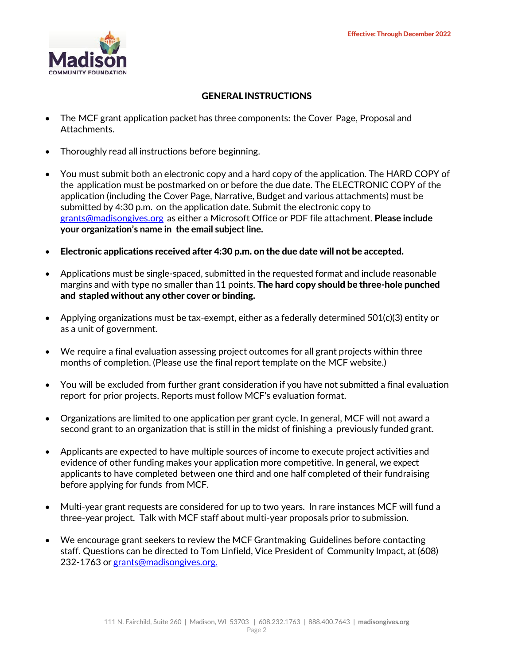

## GENERALINSTRUCTIONS

- The MCF grant application packet has three components: the Cover Page, Proposal and Attachments.
- Thoroughly read all instructions before beginning.
- You must submit both an electronic copy and a hard copy of the application. The HARD COPY of the application must be postmarked on or before the due date. The ELECTRONIC COPY of the application (including the Cover Page, Narrative, Budget and various attachments) must be submitted by 4:30 p.m. on the application date. Submit the electronic copy to [grants@madisongives.org](mailto:grants@madisongives.org) as either a Microsoft Office or PDF file attachment. **Please include your organization's name in the email subject line.**
- Electronic applications received after 4:30 p.m. on the due date will not be accepted.
- Applications must be single‐spaced, submitted in the requested format and include reasonable margins and with type no smaller than 11 points. **The hard copy should be three-hole punched** and stapled without any other cover or binding.
- Applying organizations must be tax-exempt, either as a federally determined  $501(c)(3)$  entity or as a unit of government.
- We require a final evaluation assessing project outcomes for all grant projects within three months of completion. (Please use the final report template on the MCF website.)
- You will be excluded from further grant consideration if you have not submitted a final evaluation report for prior projects. Reports must follow MCF's evaluation format.
- Organizations are limited to one application per grant cycle. In general, MCF will not award a second grant to an organization that is still in the midst of finishing a previously funded grant.
- Applicants are expected to have multiple sources of income to execute project activities and evidence of other funding makes your application more competitive. In general, we expect applicants to have completed between one third and one half completed of their fundraising before applying for funds from MCF.
- Multi‐year grant requests are considered for up to two years. In rare instances MCF will fund a three‐year project. Talk with MCF staff about multi‐year proposals prior to submission.
- We encourage grant seekers to review the MCF Grantmaking Guidelines before contacting staff. Questions can be directed to Tom Linfield, Vice President of Community Impact, at (608) 232-1763 or [grants@madisongives.org.](mailto:grants@madisongives.org)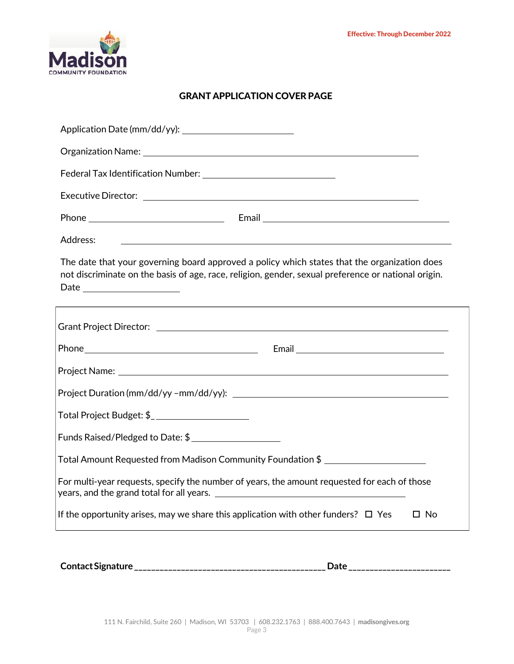

# GRANT APPLICATION COVER PAGE

**ContactSignature\_\_\_\_\_\_\_\_\_\_\_\_\_\_\_\_\_\_\_\_\_\_\_\_\_\_\_\_\_\_\_\_\_\_\_\_\_\_\_\_\_\_\_\_\_Date\_\_\_\_\_\_\_\_\_\_\_\_\_\_\_\_\_\_\_\_\_\_\_\_**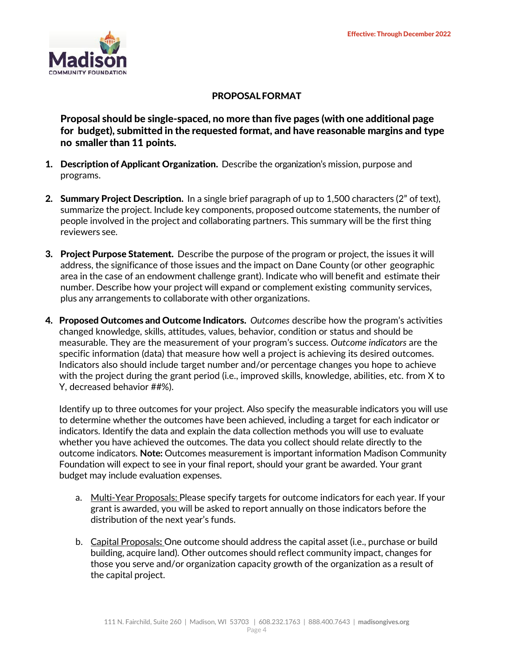

## PROPOSALFORMAT

Proposal should be single‐spaced, no more than five pages (with one additional page for budget), submitted in the requested format, and have reasonable margins and type no smaller than 11 points.

- **1. Description of Applicant Organization.** Describe the organization's mission, purpose and programs.
- 2. Summary Project Description. In a single brief paragraph of up to 1,500 characters (2" of text), summarize the project. Include key components, proposed outcome statements, the number of people involved in the project and collaborating partners. This summary will be the first thing reviewers see.
- **3. Project Purpose Statement.** Describe the purpose of the program or project, the issues it will address, the significance of those issues and the impact on Dane County (or other geographic area in the case of an endowment challenge grant). Indicate who will benefit and estimate their number. Describe how your project will expand or complement existing community services, plus any arrangements to collaborate with other organizations.
- 4. Proposed Outcomes and Outcome Indicators. *Outcomes* describe how the program's activities changed knowledge, skills, attitudes, values, behavior, condition or status and should be measurable. They are the measurement of your program's success. *Outcome indicators* are the specific information (data) that measure how well a project is achieving its desired outcomes. Indicators also should include target number and/or percentage changes you hope to achieve with the project during the grant period (i.e., improved skills, knowledge, abilities, etc. from X to Y, decreased behavior ##%).

Identify up to three outcomes for your project. Also specify the measurable indicators you will use to determine whether the outcomes have been achieved, including a target for each indicator or indicators. Identify the data and explain the data collection methods you will use to evaluate whether you have achieved the outcomes. The data you collect should relate directly to the outcome indicators. **Note:** Outcomes measurement is important information Madison Community Foundation will expect to see in your final report, should your grant be awarded. Your grant budget may include evaluation expenses.

- a. Multi-Year Proposals: Please specify targets for outcome indicators for each year. If your grant is awarded, you will be asked to report annually on those indicators before the distribution of the next year's funds.
- b. Capital Proposals**:** One outcome should address the capital asset (i.e., purchase or build building, acquire land). Other outcomes should reflect community impact, changes for those you serve and/or organization capacity growth of the organization as a result of the capital project.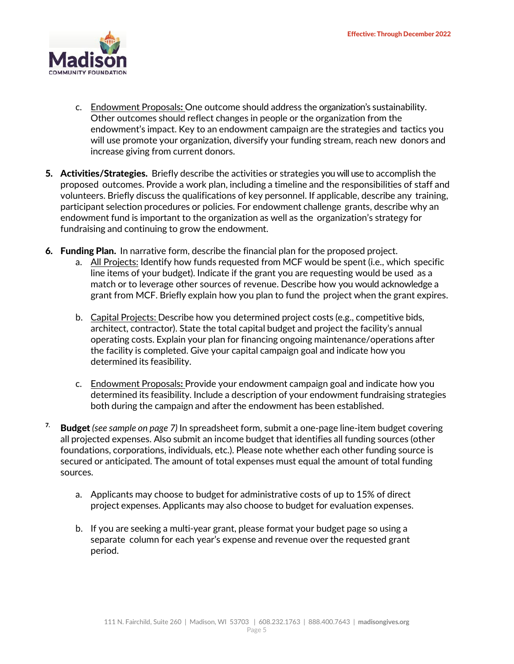

- c. Endowment Proposals**:** One outcome should address the organization's sustainability. Other outcomes should reflect changes in people or the organization from the endowment's impact. Key to an endowment campaign are the strategies and tactics you will use promote your organization, diversify your funding stream, reach new donors and increase giving from current donors.
- 5. Activities/Strategies. Briefly describe the activities or strategies you will use to accomplish the proposed outcomes. Provide a work plan, including a timeline and the responsibilities of staff and volunteers. Briefly discuss the qualifications of key personnel. If applicable, describe any training, participant selection procedures or policies. For endowment challenge grants, describe why an endowment fund is important to the organization as well as the organization's strategy for fundraising and continuing to grow the endowment.
- 6. Funding Plan. In narrative form, describe the financial plan for the proposed project.
	- a. All Projects: Identify how funds requested from MCF would be spent (i.e., which specific line items of your budget). Indicate if the grant you are requesting would be used as a match or to leverage other sources of revenue. Describe how you would acknowledge a grant from MCF. Briefly explain how you plan to fund the project when the grant expires.
	- b. Capital Projects: Describe how you determined project costs (e.g., competitive bids, architect, contractor). State the total capital budget and project the facility's annual operating costs. Explain your plan for financing ongoing maintenance/operations after the facility is completed. Give your capital campaign goal and indicate how you determined its feasibility.
	- c. Endowment Proposals**:** Provide your endowment campaign goal and indicate how you determined its feasibility. Include a description of your endowment fundraising strategies both during the campaign and after the endowment has been established.
- 7. Budget *(see sample on page 7)* In spreadsheet form, submit a one‐page line‐item budget covering all projected expenses. Also submit an income budget that identifies all funding sources (other foundations, corporations, individuals, etc.). Please note whether each other funding source is secured or anticipated. The amount of total expenses must equal the amount of total funding sources.
	- a. Applicants may choose to budget for administrative costs of up to 15% of direct project expenses. Applicants may also choose to budget for evaluation expenses.
	- b. If you are seeking a multi‐year grant, please format your budget page so using a separate column for each year's expense and revenue over the requested grant period.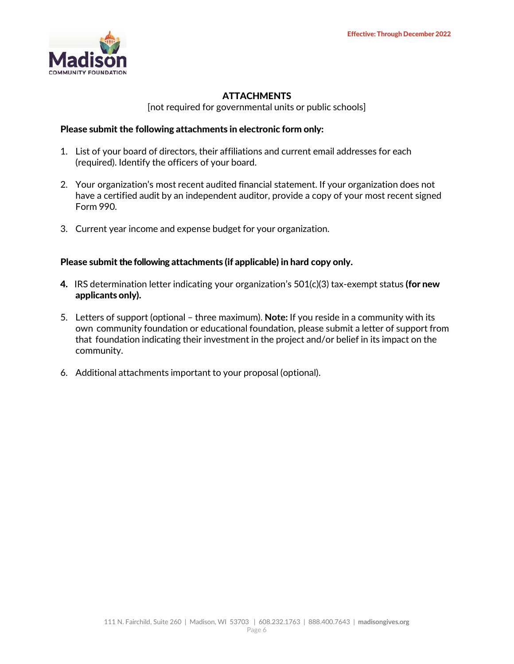

# **ATTACHMENTS**

[not required for governmental units or public schools]

#### Please submit the following attachments in electronic form only:

- 1. List of your board of directors, their affiliations and current email addresses for each (required). Identify the officers of your board.
- 2. Your organization's most recent audited financial statement. If your organization does not have a certified audit by an independent auditor, provide a copy of your most recent signed Form 990.
- 3. Current year income and expense budget for your organization.

#### Please submit the following attachments (if applicable) in hard copy only.

- 4. IRS determination letter indicating your organization's  $501(c)(3)$  tax-exempt status (for new applicants only).
- 5. Letters of support (optional three maximum). **Note:** If you reside in a community with its own community foundation or educational foundation, please submit a letter of support from that foundation indicating their investment in the project and/or belief in its impact on the community.
- 6. Additional attachments important to your proposal (optional).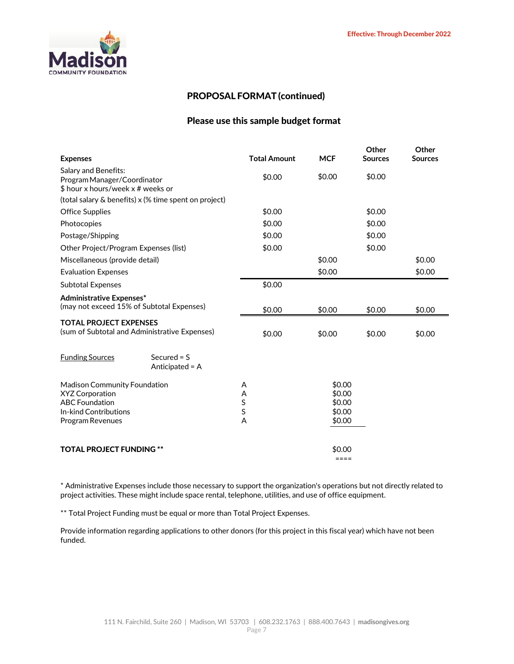

#### PROPOSAL FORMAT (continued)

#### Please use this sample budget format

|        |                                    | Other                                              | Other<br><b>Sources</b> |
|--------|------------------------------------|----------------------------------------------------|-------------------------|
|        |                                    |                                                    |                         |
| \$0.00 | \$0.00                             | \$0.00                                             |                         |
|        |                                    |                                                    |                         |
|        |                                    |                                                    |                         |
| \$0.00 |                                    | \$0.00                                             |                         |
| \$0.00 |                                    | \$0.00                                             |                         |
| \$0.00 |                                    | \$0.00                                             |                         |
| \$0.00 |                                    | \$0.00                                             |                         |
|        | \$0.00                             |                                                    | \$0.00                  |
|        | \$0.00                             |                                                    | \$0.00                  |
| \$0.00 |                                    |                                                    |                         |
|        |                                    |                                                    |                         |
| \$0.00 | \$0.00                             | \$0.00                                             | \$0.00                  |
|        |                                    |                                                    |                         |
| \$0.00 | \$0.00                             | \$0.00                                             | \$0.00                  |
|        |                                    |                                                    |                         |
|        |                                    |                                                    |                         |
|        |                                    |                                                    |                         |
| Α      | \$0.00                             |                                                    |                         |
| Α      | \$0.00                             |                                                    |                         |
|        |                                    |                                                    |                         |
|        |                                    |                                                    |                         |
|        |                                    |                                                    |                         |
|        |                                    |                                                    |                         |
|        | ====                               |                                                    |                         |
|        | <b>Total Amount</b><br>S<br>S<br>A | <b>MCF</b><br>\$0.00<br>\$0.00<br>\$0.00<br>\$0.00 | <b>Sources</b>          |

\* Administrative Expenses include those necessary to support the organization's operations but not directly related to project activities. These might include space rental, telephone, utilities, and use of office equipment.

\*\* Total Project Funding must be equal or more than Total Project Expenses.

Provide information regarding applications to other donors (for this project in this fiscal year) which have not been funded.